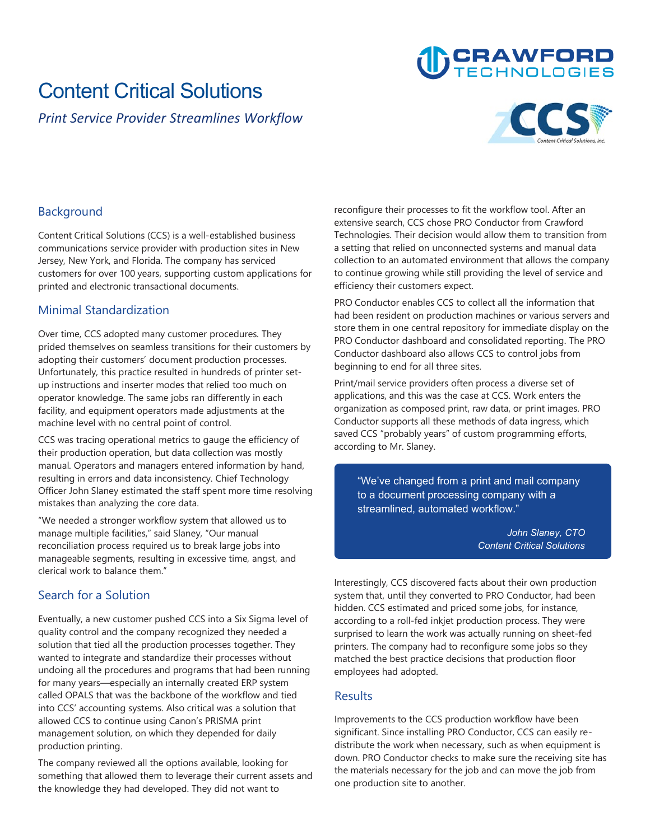## **Content Critical Solutions**

*Print Service Provider Streamlines Workflow*



**CRAWFORD** 

### **Background**

**Content Critical Solutions (CCS) is a well-established business communications service provider with production sites in New Jersey, New York, and Florida. The company has serviced customers for over 100 years, supporting custom applications for printed and electronic transactional documents.**

#### **Minimal Standardization**

**Over time, CCS adopted many customer procedures. They prided themselves on seamless transitions for their customers by adopting their customers' document production processes. Unfortunately, this practice resulted in hundreds of printer setup instructions and inserter modes that relied too much on operator knowledge. The same jobs ran differently in each facility, and equipment operators made adjustments at the machine level with no central point of control.**

**CCS was tracing operational metrics to gauge the efficiency of their production operation, but data collection was mostly manual. Operators and managers entered information by hand, resulting in errors and data inconsistency. Chief Technology Officer John Slaney estimated the staff spent more time resolving mistakes than analyzing the core data.**

**"We needed a stronger workflow system that allowed us to manage multiple facilities," said Slaney, "Our manual reconciliation process required us to break large jobs into manageable segments, resulting in excessive time, angst, and clerical work to balance them."**

#### **Search for a Solution**

**Eventually, a new customer pushed CCS into a Six Sigma level of quality control and the company recognized they needed a solution that tied all the production processes together. They wanted to integrate and standardize their processes without undoing all the procedures and programs that had been running for many years—especially an internally created ERP system called OPALS that was the backbone of the workflow and tied into CCS' accounting systems. Also critical was a solution that allowed CCS to continue using Canon's PRISMA print management solution, on which they depended for daily production printing.**

**The company reviewed all the options available, looking for something that allowed them to leverage their current assets and the knowledge they had developed. They did not want to** 

**reconfigure their processes to fit the workflow tool. After an extensive search, CCS chose PRO Conductor from Crawford Technologies. Their decision would allow them to transition from a setting that relied on unconnected systems and manual data collection to an automated environment that allows the company to continue growing while still providing the level of service and efficiency their customers expect.**

**PRO Conductor enables CCS to collect all the information that had been resident on production machines or various servers and store them in one central repository for immediate display on the PRO Conductor dashboard and consolidated reporting. The PRO Conductor dashboard also allows CCS to control jobs from beginning to end for all three sites.**

**Print/mail service providers often process a diverse set of applications, and this was the case at CCS. Work enters the organization as composed print, raw data, or print images. PRO Conductor supports all these methods of data ingress, which saved CCS "probably years" of custom programming efforts, according to Mr. Slaney.**

**"We've changed from a print and mail company to a document processing company with a streamlined, automated workflow."**

> *John Slaney, CTO Content Critical Solutions*

**Interestingly, CCS discovered facts about their own production system that, until they converted to PRO Conductor, had been hidden. CCS estimated and priced some jobs, for instance, according to a roll-fed inkjet production process. They were surprised to learn the work was actually running on sheet-fed printers. The company had to reconfigure some jobs so they matched the best practice decisions that production floor employees had adopted.**

#### **Results**

**Improvements to the CCS production workflow have been significant. Since installing PRO Conductor, CCS can easily redistribute the work when necessary, such as when equipment is down. PRO Conductor checks to make sure the receiving site has the materials necessary for the job and can move the job from one production site to another.**